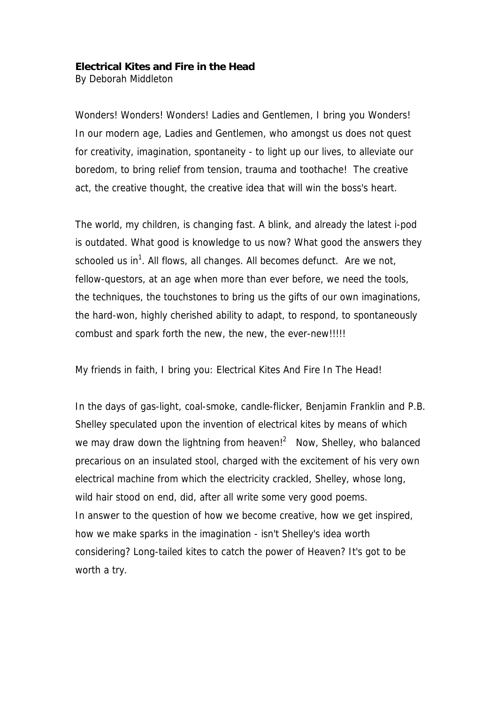# **Electrical Kites and Fire in the Head**

By Deborah Middleton

Wonders! Wonders! Wonders! Ladies and Gentlemen, I bring you Wonders! In our modern age, Ladies and Gentlemen, who amongst us does not quest for creativity, imagination, spontaneity - to light up our lives, to alleviate our boredom, to bring relief from tension, trauma and toothache! The creative act, the creative thought, the creative idea that will win the boss's heart.

The world, my children, is changing fast. A blink, and already the latest i-pod is outdated. What good is knowledge to us now? What good the answers they schooled us in<sup>1</sup>. All flows, all changes. All becomes defunct. Are we not, fellow-questors, at an age when more than ever before, we need the tools, the techniques, the touchstones to bring us the gifts of our own imaginations, the hard-won, highly cherished ability to adapt, to respond, to spontaneously combust and spark forth the new, the new, the ever-new!!!!!

My friends in faith, I bring you: Electrical Kites And Fire In The Head!

In the days of gas-light, coal-smoke, candle-flicker, Benjamin Franklin and P.B. Shelley speculated upon the invention of electrical kites by means of which we may draw down the lightning from heaven! $^2$  Now, Shelley, who balanced precarious on an insulated stool, charged with the excitement of his very own electrical machine from which the electricity crackled, Shelley, whose long, wild hair stood on end, did, after all write some very good poems. In answer to the question of how we become creative, how we get inspired, how we make sparks in the imagination - isn't Shelley's idea worth considering? Long-tailed kites to catch the power of Heaven? It's got to be worth a try.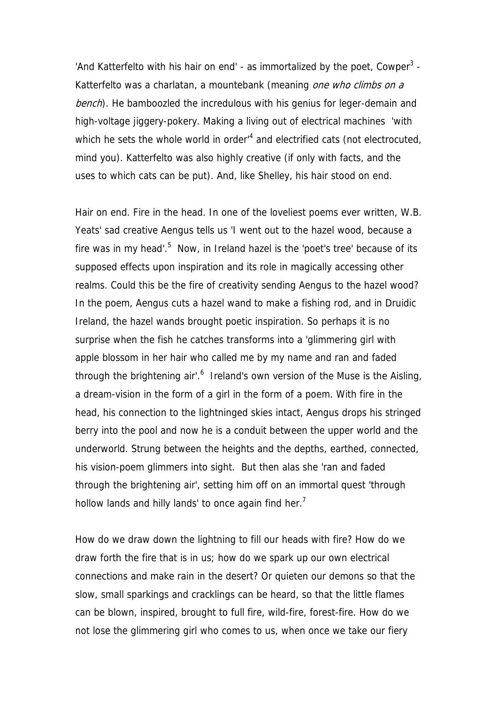'And Katterfelto with his hair on end' - as immortalized by the poet, Cowper<sup>3</sup> -Katterfelto was a charlatan, a mountebank (meaning one who climbs on a bench). He bamboozled the incredulous with his genius for leger-demain and high-voltage jiggery-pokery. Making a living out of electrical machines 'with which he sets the whole world in order<sup>4</sup> and electrified cats (not electrocuted, mind you). Katterfelto was also highly creative (if only with facts, and the uses to which cats can be put). And, like Shelley, his hair stood on end.

Hair on end. Fire in the head. In one of the loveliest poems ever written, W.B. Yeats' sad creative Aengus tells us 'I went out to the hazel wood, because a fire was in my head'. $5$  Now, in Ireland hazel is the 'poet's tree' because of its supposed effects upon inspiration and its role in magically accessing other realms. Could this be the fire of creativity sending Aengus to the hazel wood? In the poem, Aengus cuts a hazel wand to make a fishing rod, and in Druidic Ireland, the hazel wands brought poetic inspiration. So perhaps it is no surprise when the fish he catches transforms into a 'glimmering girl with apple blossom in her hair who called me by my name and ran and faded through the brightening air'.<sup>6</sup> Ireland's own version of the Muse is the Aisling, a dream-vision in the form of a girl in the form of a poem. With fire in the head, his connection to the lightninged skies intact, Aengus drops his stringed berry into the pool and now he is a conduit between the upper world and the underworld. Strung between the heights and the depths, earthed, connected, his vision-poem glimmers into sight. But then alas she 'ran and faded through the brightening air', setting him off on an immortal quest 'through hollow lands and hilly lands' to once again find her.<sup>7</sup>

How do we draw down the lightning to fill our heads with fire? How do we draw forth the fire that is in us; how do we spark up our own electrical connections and make rain in the desert? Or quieten our demons so that the slow, small sparkings and cracklings can be heard, so that the little flames can be blown, inspired, brought to full fire, wild-fire, forest-fire. How do we not lose the glimmering girl who comes to us, when once we take our fiery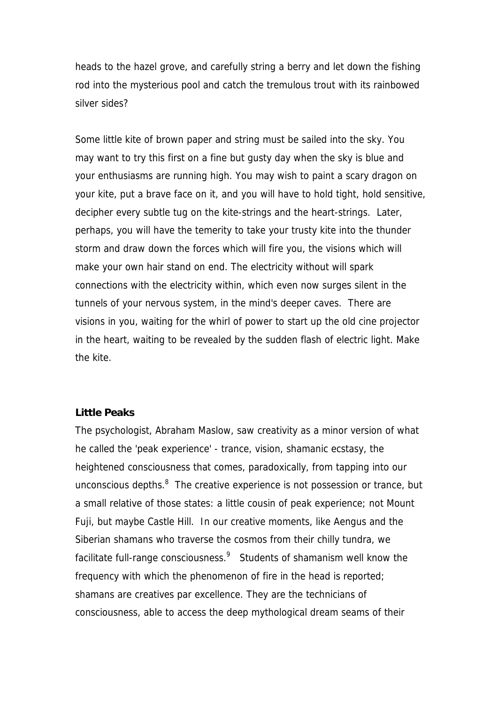heads to the hazel grove, and carefully string a berry and let down the fishing rod into the mysterious pool and catch the tremulous trout with its rainbowed silver sides?

Some little kite of brown paper and string must be sailed into the sky. You may want to try this first on a fine but gusty day when the sky is blue and your enthusiasms are running high. You may wish to paint a scary dragon on your kite, put a brave face on it, and you will have to hold tight, hold sensitive, decipher every subtle tug on the kite-strings and the heart-strings. Later, perhaps, you will have the temerity to take your trusty kite into the thunder storm and draw down the forces which will fire you, the visions which will make your own hair stand on end. The electricity without will spark connections with the electricity within, which even now surges silent in the tunnels of your nervous system, in the mind's deeper caves. There are visions in you, waiting for the whirl of power to start up the old cine projector in the heart, waiting to be revealed by the sudden flash of electric light. Make the kite.

## **Little Peaks**

The psychologist, Abraham Maslow, saw creativity as a minor version of what he called the 'peak experience' - trance, vision, shamanic ecstasy, the heightened consciousness that comes, paradoxically, from tapping into our unconscious depths. $8$  The creative experience is not possession or trance, but a small relative of those states: a little cousin of peak experience; not Mount Fuji, but maybe Castle Hill. In our creative moments, like Aengus and the Siberian shamans who traverse the cosmos from their chilly tundra, we facilitate full-range consciousness. $9$  Students of shamanism well know the frequency with which the phenomenon of fire in the head is reported; shamans are creatives par excellence. They are the technicians of consciousness, able to access the deep mythological dream seams of their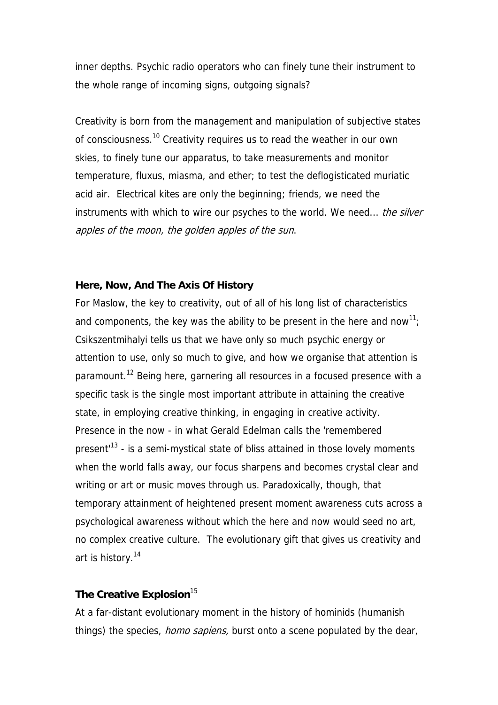inner depths. Psychic radio operators who can finely tune their instrument to the whole range of incoming signs, outgoing signals?

Creativity is born from the management and manipulation of subjective states of consciousness.10 Creativity requires us to read the weather in our own skies, to finely tune our apparatus, to take measurements and monitor temperature, fluxus, miasma, and ether; to test the deflogisticated muriatic acid air. Electrical kites are only the beginning; friends, we need the instruments with which to wire our psyches to the world. We need... the silver apples of the moon, the golden apples of the sun.

## **Here, Now, And The Axis Of History**

For Maslow, the key to creativity, out of all of his long list of characteristics and components, the key was the ability to be present in the here and now<sup>11</sup>; Csikszentmihalyi tells us that we have only so much psychic energy or attention to use, only so much to give, and how we organise that attention is paramount.<sup>12</sup> Being here, garnering all resources in a focused presence with a specific task is the single most important attribute in attaining the creative state, in employing creative thinking, in engaging in creative activity. Presence in the now - in what Gerald Edelman calls the 'remembered present<sup>13</sup> - is a semi-mystical state of bliss attained in those lovely moments when the world falls away, our focus sharpens and becomes crystal clear and writing or art or music moves through us. Paradoxically, though, that temporary attainment of heightened present moment awareness cuts across a psychological awareness without which the here and now would seed no art, no complex creative culture. The evolutionary gift that gives us creativity and art is history.<sup>14</sup>

## **The Creative Explosion**<sup>15</sup>

At a far-distant evolutionary moment in the history of hominids (humanish things) the species, *homo sapiens*, burst onto a scene populated by the dear,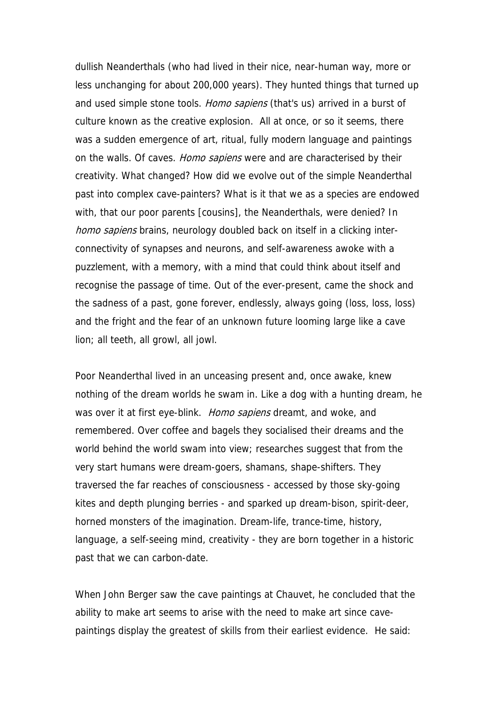dullish Neanderthals (who had lived in their nice, near-human way, more or less unchanging for about 200,000 years). They hunted things that turned up and used simple stone tools. Homo sapiens (that's us) arrived in a burst of culture known as the creative explosion. All at once, or so it seems, there was a sudden emergence of art, ritual, fully modern language and paintings on the walls. Of caves. Homo sapiens were and are characterised by their creativity. What changed? How did we evolve out of the simple Neanderthal past into complex cave-painters? What is it that we as a species are endowed with, that our poor parents [cousins], the Neanderthals, were denied? In homo sapiens brains, neurology doubled back on itself in a clicking interconnectivity of synapses and neurons, and self-awareness awoke with a puzzlement, with a memory, with a mind that could think about itself and recognise the passage of time. Out of the ever-present, came the shock and the sadness of a past, gone forever, endlessly, always going (loss, loss, loss) and the fright and the fear of an unknown future looming large like a cave lion; all teeth, all growl, all jowl.

Poor Neanderthal lived in an unceasing present and, once awake, knew nothing of the dream worlds he swam in. Like a dog with a hunting dream, he was over it at first eye-blink. Homo sapiens dreamt, and woke, and remembered. Over coffee and bagels they socialised their dreams and the world behind the world swam into view; researches suggest that from the very start humans were dream-goers, shamans, shape-shifters. They traversed the far reaches of consciousness - accessed by those sky-going kites and depth plunging berries - and sparked up dream-bison, spirit-deer, horned monsters of the imagination. Dream-life, trance-time, history, language, a self-seeing mind, creativity - they are born together in a historic past that we can carbon-date.

When John Berger saw the cave paintings at Chauvet, he concluded that the ability to make art seems to arise with the need to make art since cavepaintings display the greatest of skills from their earliest evidence. He said: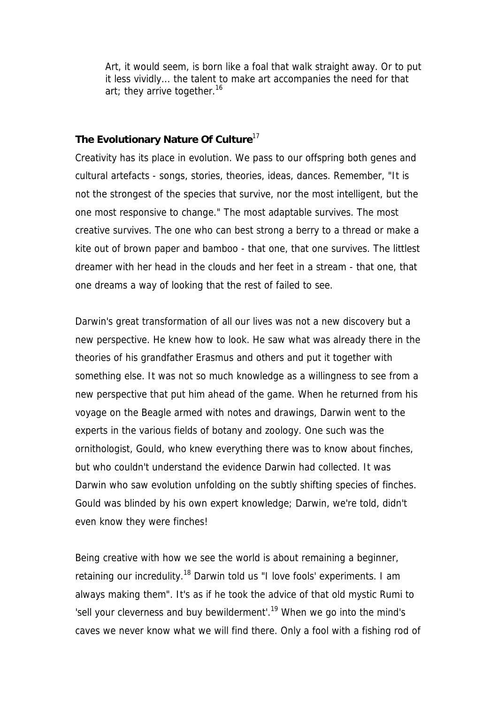Art, it would seem, is born like a foal that walk straight away. Or to put it less vividly... the talent to make art accompanies the need for that art; they arrive together.<sup>16</sup>

## **The Evolutionary Nature Of Culture**<sup>17</sup>

Creativity has its place in evolution. We pass to our offspring both genes and cultural artefacts - songs, stories, theories, ideas, dances. Remember, "It is not the strongest of the species that survive, nor the most intelligent, but the one most responsive to change." The most adaptable survives. The most creative survives. The one who can best strong a berry to a thread or make a kite out of brown paper and bamboo - that one, that one survives. The littlest dreamer with her head in the clouds and her feet in a stream - that one, that one dreams a way of looking that the rest of failed to see.

Darwin's great transformation of all our lives was not a new discovery but a new perspective. He knew how to look. He saw what was already there in the theories of his grandfather Erasmus and others and put it together with something else. It was not so much knowledge as a willingness to see from a new perspective that put him ahead of the game. When he returned from his voyage on the Beagle armed with notes and drawings, Darwin went to the experts in the various fields of botany and zoology. One such was the ornithologist, Gould, who knew everything there was to know about finches, but who couldn't understand the evidence Darwin had collected. It was Darwin who saw evolution unfolding on the subtly shifting species of finches. Gould was blinded by his own expert knowledge; Darwin, we're told, didn't even know they were finches!

Being creative with how we see the world is about remaining a beginner, retaining our incredulity.<sup>18</sup> Darwin told us "I love fools' experiments. I am always making them". It's as if he took the advice of that old mystic Rumi to 'sell your cleverness and buy bewilderment'.<sup>19</sup> When we go into the mind's caves we never know what we will find there. Only a fool with a fishing rod of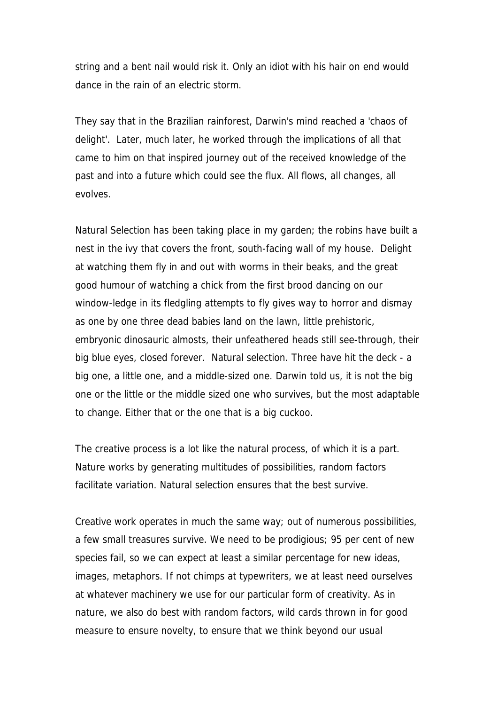string and a bent nail would risk it. Only an idiot with his hair on end would dance in the rain of an electric storm.

They say that in the Brazilian rainforest, Darwin's mind reached a 'chaos of delight'. Later, much later, he worked through the implications of all that came to him on that inspired journey out of the received knowledge of the past and into a future which could see the flux. All flows, all changes, all evolves.

Natural Selection has been taking place in my garden; the robins have built a nest in the ivy that covers the front, south-facing wall of my house. Delight at watching them fly in and out with worms in their beaks, and the great good humour of watching a chick from the first brood dancing on our window-ledge in its fledgling attempts to fly gives way to horror and dismay as one by one three dead babies land on the lawn, little prehistoric, embryonic dinosauric almosts, their unfeathered heads still see-through, their big blue eyes, closed forever. Natural selection. Three have hit the deck - a big one, a little one, and a middle-sized one. Darwin told us, it is not the big one or the little or the middle sized one who survives, but the most adaptable to change. Either that or the one that is a big cuckoo.

The creative process is a lot like the natural process, of which it is a part. Nature works by generating multitudes of possibilities, random factors facilitate variation. Natural selection ensures that the best survive.

Creative work operates in much the same way; out of numerous possibilities, a few small treasures survive. We need to be prodigious; 95 per cent of new species fail, so we can expect at least a similar percentage for new ideas, images, metaphors. If not chimps at typewriters, we at least need ourselves at whatever machinery we use for our particular form of creativity. As in nature, we also do best with random factors, wild cards thrown in for good measure to ensure novelty, to ensure that we think beyond our usual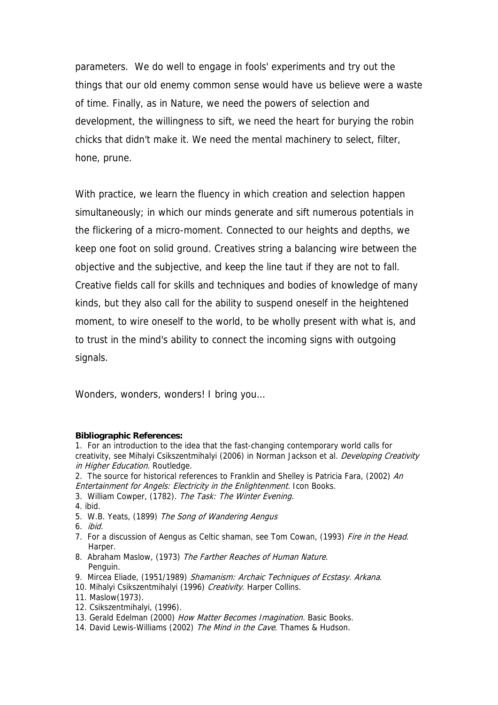parameters. We do well to engage in fools' experiments and try out the things that our old enemy common sense would have us believe were a waste of time. Finally, as in Nature, we need the powers of selection and development, the willingness to sift, we need the heart for burying the robin chicks that didn't make it. We need the mental machinery to select, filter, hone, prune.

With practice, we learn the fluency in which creation and selection happen simultaneously; in which our minds generate and sift numerous potentials in the flickering of a micro-moment. Connected to our heights and depths, we keep one foot on solid ground. Creatives string a balancing wire between the objective and the subjective, and keep the line taut if they are not to fall. Creative fields call for skills and techniques and bodies of knowledge of many kinds, but they also call for the ability to suspend oneself in the heightened moment, to wire oneself to the world, to be wholly present with what is, and to trust in the mind's ability to connect the incoming signs with outgoing signals.

Wonders, wonders, wonders! I bring you...

### **Bibliographic References:**

1. For an introduction to the idea that the fast-changing contemporary world calls for creativity, see Mihalyi Csikszentmihalyi (2006) in Norman Jackson et al. Developing Creativity in Higher Education. Routledge.

- 2. The source for historical references to Franklin and Shelley is Patricia Fara, (2002) An Entertainment for Angels: Electricity in the Enlightenment. Icon Books.
- 3. William Cowper, (1782). The Task: The Winter Evening.
- 4. ibid.
- 5. W.B. Yeats, (1899) The Song of Wandering Aengus
- 6. ibid.
- 7. For a discussion of Aengus as Celtic shaman, see Tom Cowan, (1993) Fire in the Head. Harper.
- 8. Abraham Maslow, (1973) The Farther Reaches of Human Nature. Penguin.
- 9. Mircea Eliade, (1951/1989) Shamanism: Archaic Techniques of Ecstasy. Arkana.
- 10. Mihalyi Csikszentmihalyi (1996) Creativity. Harper Collins.
- 11. Maslow(1973).
- 12. Csikszentmihalyi, (1996).
- 13. Gerald Edelman (2000) How Matter Becomes Imagination. Basic Books.
- 14. David Lewis-Williams (2002) The Mind in the Cave. Thames & Hudson.